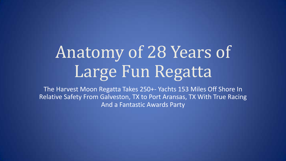# Anatomy of 28 Years of Large Fun Regatta

The Harvest Moon Regatta Takes 250+- Yachts 153 Miles Off Shore In Relative Safety From Galveston, TX to Port Aransas, TX With True Racing And a Fantastic Awards Party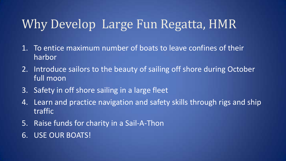# Why Develop Large Fun Regatta, HMR

- 1. To entice maximum number of boats to leave confines of their harbor
- 2. Introduce sailors to the beauty of sailing off shore during October full moon
- 3. Safety in off shore sailing in a large fleet
- 4. Learn and practice navigation and safety skills through rigs and ship traffic
- 5. Raise funds for charity in a Sail-A-Thon
- 6. USE OUR BOATS!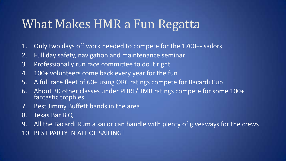### What Makes HMR a Fun Regatta

- 1. Only two days off work needed to compete for the 1700+- sailors
- 2. Full day safety, navigation and maintenance seminar
- 3. Professionally run race committee to do it right
- 4. 100+ volunteers come back every year for the fun
- 5. A full race fleet of 60+ using ORC ratings compete for Bacardi Cup
- 6. About 30 other classes under PHRF/HMR ratings compete for some 100+ fantastic trophies
- 7. Best Jimmy Buffett bands in the area
- 8. Texas Bar B Q
- 9. All the Bacardi Rum a sailor can handle with plenty of giveaways for the crews
- 10. BEST PARTY IN ALL OF SAILING!